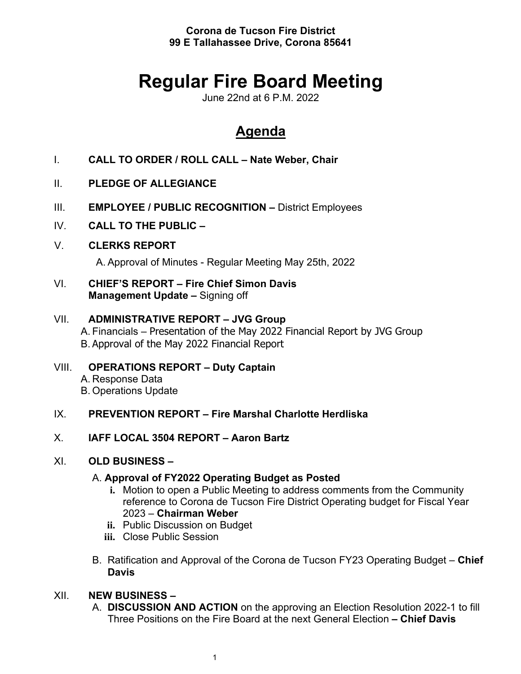**Corona de Tucson Fire District 99 E Tallahassee Drive, Corona 85641**

# **Regular Fire Board Meeting**

June 22nd at 6 P.M. 2022

# **Agenda**

- I. **CALL TO ORDER / ROLL CALL – Nate Weber, Chair**
- II. **PLEDGE OF ALLEGIANCE**
- III. **EMPLOYEE / PUBLIC RECOGNITION –** District Employees
- IV. **CALL TO THE PUBLIC –**
- V. **CLERKS REPORT**

A. Approval of Minutes - Regular Meeting May 25th, 2022

VI. **CHIEF'S REPORT – Fire Chief Simon Davis Management Update –** Signing off

### VII. **ADMINISTRATIVE REPORT – JVG Group** A. Financials – Presentation of the May 2022 Financial Report by JVG Group B. Approval of the May 2022 Financial Report

VIII. **OPERATIONS REPORT – Duty Captain** A. Response Data B. Operations Update

# IX. **PREVENTION REPORT – Fire Marshal Charlotte Herdliska**

X. **IAFF LOCAL 3504 REPORT – Aaron Bartz**

# XI. **OLD BUSINESS –**

#### A. **Approval of FY2022 Operating Budget as Posted**

- **i.** Motion to open a Public Meeting to address comments from the Community reference to Corona de Tucson Fire District Operating budget for Fiscal Year 2023 – **Chairman Weber**
- **ii.** Public Discussion on Budget
- **iii.** Close Public Session
- B. Ratification and Approval of the Corona de Tucson FY23 Operating Budget **Chief Davis**

# XII. **NEW BUSINESS –**

A. **DISCUSSION AND ACTION** on the approving an Election Resolution 2022-1 to fill Three Positions on the Fire Board at the next General Election **– Chief Davis**